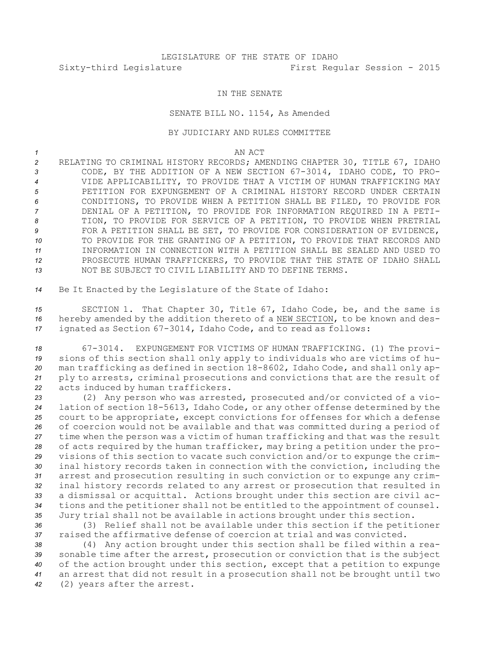## LEGISLATURE OF THE STATE OF IDAHO Sixty-third Legislature First Regular Session - 2015

## IN THE SENATE

## SENATE BILL NO. 1154, As Amended

## BY JUDICIARY AND RULES COMMITTEE

*1* AN ACT

- *<sup>2</sup>* RELATING TO CRIMINAL HISTORY RECORDS; AMENDING CHAPTER 30, TITLE 67, IDAHO *<sup>3</sup>* CODE, BY THE ADDITION OF A NEW SECTION 67-3014, IDAHO CODE, TO PRO-*4* VIDE APPLICABILITY, TO PROVIDE THAT A VICTIM OF HUMAN TRAFFICKING MAY *5* PETITION FOR EXPUNGEMENT OF A CRIMINAL HISTORY RECORD UNDER CERTAIN *6* CONDITIONS, TO PROVIDE WHEN A PETITION SHALL BE FILED, TO PROVIDE FOR *7* DENIAL OF A PETITION, TO PROVIDE FOR INFORMATION REQUIRED IN A PETI-*8* TION, TO PROVIDE FOR SERVICE OF A PETITION, TO PROVIDE WHEN PRETRIAL **9** FOR A PETITION SHALL BE SET, TO PROVIDE FOR CONSIDERATION OF EVIDENCE, *10* TO PROVIDE FOR THE GRANTING OF A PETITION, TO PROVIDE THAT RECORDS AND *11* INFORMATION IN CONNECTION WITH A PETITION SHALL BE SEALED AND USED TO *12* PROSECUTE HUMAN TRAFFICKERS, TO PROVIDE THAT THE STATE OF IDAHO SHALL *13* NOT BE SUBJECT TO CIVIL LIABILITY AND TO DEFINE TERMS.
- *<sup>14</sup>* Be It Enacted by the Legislature of the State of Idaho:

*<sup>15</sup>* SECTION 1. That Chapter 30, Title 67, Idaho Code, be, and the same is *<sup>16</sup>* hereby amended by the addition thereto of <sup>a</sup> NEW SECTION, to be known and des-*<sup>17</sup>* ignated as Section 67-3014, Idaho Code, and to read as follows:

 67-3014. EXPUNGEMENT FOR VICTIMS OF HUMAN TRAFFICKING. (1) The provi- sions of this section shall only apply to individuals who are victims of hu- man trafficking as defined in section 18-8602, Idaho Code, and shall only ap- ply to arrests, criminal prosecutions and convictions that are the result of acts induced by human traffickers.

 (2) Any person who was arrested, prosecuted and/or convicted of <sup>a</sup> vio- lation of section 18-5613, Idaho Code, or any other offense determined by the court to be appropriate, except convictions for offenses for which <sup>a</sup> defense of coercion would not be available and that was committed during <sup>a</sup> period of time when the person was <sup>a</sup> victim of human trafficking and that was the result of acts required by the human trafficker, may bring <sup>a</sup> petition under the pro- visions of this section to vacate such conviction and/or to expunge the crim- inal history records taken in connection with the conviction, including the arrest and prosecution resulting in such conviction or to expunge any crim- inal history records related to any arrest or prosecution that resulted in <sup>a</sup> dismissal or acquittal. Actions brought under this section are civil ac- tions and the petitioner shall not be entitled to the appointment of counsel. Jury trial shall not be available in actions brought under this section.

*<sup>36</sup>* (3) Relief shall not be available under this section if the petitioner *37* raised the affirmative defense of coercion at trial and was convicted.

 (4) Any action brought under this section shall be filed within <sup>a</sup> rea- sonable time after the arrest, prosecution or conviction that is the subject of the action brought under this section, except that <sup>a</sup> petition to expunge an arrest that did not result in <sup>a</sup> prosecution shall not be brought until two (2) years after the arrest.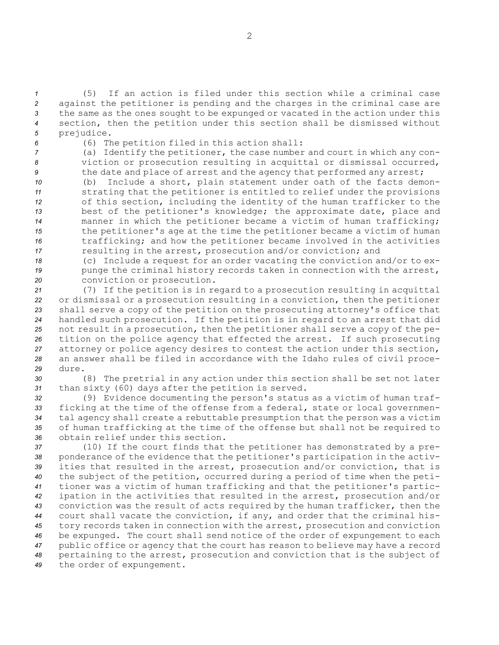(5) If an action is filed under this section while <sup>a</sup> criminal case against the petitioner is pending and the charges in the criminal case are the same as the ones sought to be expunged or vacated in the action under this section, then the petition under this section shall be dismissed without prejudice.

*<sup>6</sup>* (6) The petition filed in this action shall:

*<sup>7</sup>* (a) Identify the petitioner, the case number and court in which any con-*<sup>8</sup>* viction or prosecution resulting in acquittal or dismissal occurred, 9 the date and place of arrest and the agency that performed any arrest;

 (b) Include <sup>a</sup> short, plain statement under oath of the facts demon- strating that the petitioner is entitled to relief under the provisions of this section, including the identity of the human trafficker to the best of the petitioner's knowledge; the approximate date, place and manner in which the petitioner became <sup>a</sup> victim of human trafficking; the petitioner's age at the time the petitioner became <sup>a</sup> victim of human trafficking; and how the petitioner became involved in the activities resulting in the arrest, prosecution and/or conviction; and

*<sup>18</sup>* (c) Include <sup>a</sup> request for an order vacating the conviction and/or to ex-19 punge the criminal history records taken in connection with the arrest, *<sup>20</sup>* conviction or prosecution.

 (7) If the petition is in regard to <sup>a</sup> prosecution resulting in acquittal or dismissal or <sup>a</sup> prosecution resulting in <sup>a</sup> conviction, then the petitioner shall serve <sup>a</sup> copy of the petition on the prosecuting attorney's office that handled such prosecution. If the petition is in regard to an arrest that did not result in <sup>a</sup> prosecution, then the petitioner shall serve <sup>a</sup> copy of the pe- tition on the police agency that effected the arrest. If such prosecuting attorney or police agency desires to contest the action under this section, an answer shall be filed in accordance with the Idaho rules of civil proce-*29* dure.

*<sup>30</sup>* (8) The pretrial in any action under this section shall be set not later *<sup>31</sup>* than sixty (60) days after the petition is served.

 (9) Evidence documenting the person's status as <sup>a</sup> victim of human traf- ficking at the time of the offense from <sup>a</sup> federal, state or local governmen- tal agency shall create <sup>a</sup> rebuttable presumption that the person was <sup>a</sup> victim of human trafficking at the time of the offense but shall not be required to obtain relief under this section.

 (10) If the court finds that the petitioner has demonstrated by <sup>a</sup> pre- ponderance of the evidence that the petitioner's participation in the activ- ities that resulted in the arrest, prosecution and/or conviction, that is the subject of the petition, occurred during <sup>a</sup> period of time when the peti- tioner was <sup>a</sup> victim of human trafficking and that the petitioner's partic- ipation in the activities that resulted in the arrest, prosecution and/or conviction was the result of acts required by the human trafficker, then the court shall vacate the conviction, if any, and order that the criminal his- tory records taken in connection with the arrest, prosecution and conviction be expunged. The court shall send notice of the order of expungement to each public office or agency that the court has reason to believe may have <sup>a</sup> record pertaining to the arrest, prosecution and conviction that is the subject of the order of expungement.